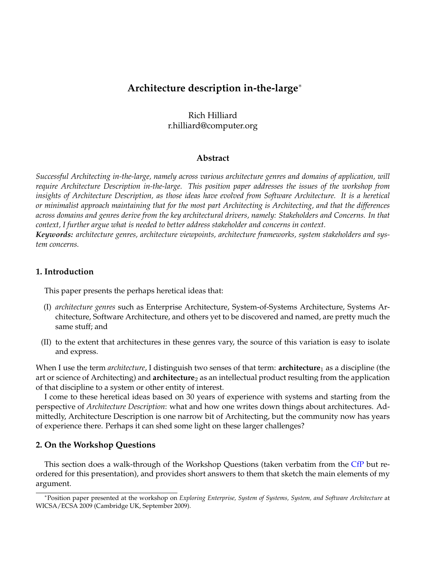# **Architecture description in-the-large**<sup>∗</sup>

## Rich Hilliard r.hilliard@computer.org

#### **Abstract**

*Successful Architecting in-the-large, namely across various architecture genres and domains of application, will require Architecture Description in-the-large. This position paper addresses the issues of the workshop from insights of Architecture Description, as those ideas have evolved from Software Architecture. It is a heretical or minimalist approach maintaining that for the most part Architecting is Architecting, and that the differences across domains and genres derive from the key architectural drivers, namely: Stakeholders and Concerns. In that context, I further argue what is needed to better address stakeholder and concerns in context. Keywords: architecture genres, architecture viewpoints, architecture frameworks, system stakeholders and sys-*

*tem concerns.*

### **1. Introduction**

This paper presents the perhaps heretical ideas that:

- (I) *architecture genres* such as Enterprise Architecture, System-of-Systems Architecture, Systems Architecture, Software Architecture, and others yet to be discovered and named, are pretty much the same stuff; and
- (II) to the extent that architectures in these genres vary, the source of this variation is easy to isolate and express.

When I use the term *architecture*, I distinguish two senses of that term: **architecture**<sup>1</sup> as a discipline (the art or science of Architecting) and **architecture**<sub>2</sub> as an intellectual product resulting from the application of that discipline to a system or other entity of interest.

I come to these heretical ideas based on 30 years of experience with systems and starting from the perspective of *Architecture Description*: what and how one writes down things about architectures. Admittedly, Architecture Description is one narrow bit of Architecting, but the community now has years of experience there. Perhaps it can shed some light on these larger challenges?

#### **2. On the Workshop Questions**

This section does a walk-through of the Workshop Questions (taken verbatim from the [CfP](http://www.sei.cmu.edu/architecture/WICSA2009ArchitectureWorkshop/) but reordered for this presentation), and provides short answers to them that sketch the main elements of my argument.

<sup>∗</sup>Position paper presented at the workshop on *Exploring Enterprise, System of Systems, System, and Software Architecture* at WICSA/ECSA 2009 (Cambridge UK, September 2009).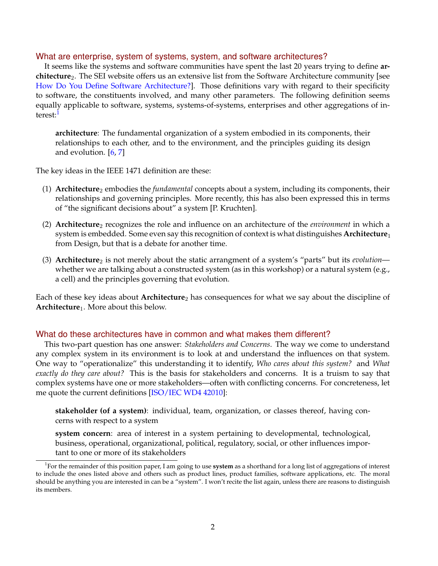#### What are enterprise, system of systems, system, and software architectures?

It seems like the systems and software communities have spent the last 20 years trying to define **architecture**2. The SEI website offers us an extensive list from the Software Architecture community [see [How Do You Define Software Architecture?\]](http://www.sei.cmu.edu/architecture/definitions.html). Those definitions vary with regard to their specificity to software, the constituents involved, and many other parameters. The following definition seems equally applicable to software, systems, systems-of-systems, enterprises and other aggregations of in-terest:<sup>[1](#page-1-0)</sup>

**architecture**: The fundamental organization of a system embodied in its components, their relationships to each other, and to the environment, and the principles guiding its design and evolution.  $[6, 7]$  $[6, 7]$  $[6, 7]$ 

The key ideas in the IEEE 1471 definition are these:

- (1) **Architecture**<sup>2</sup> embodies the *fundamental* concepts about a system, including its components, their relationships and governing principles. More recently, this has also been expressed this in terms of "the significant decisions about" a system [P. Kruchten].
- (2) **Architecture**<sup>2</sup> recognizes the role and influence on an architecture of the *environment* in which a system is embedded. Some even say this recognition of context is what distinguishes **Architecture**1 from Design, but that is a debate for another time.
- (3) **Architecture**<sub>2</sub> is not merely about the static arrangment of a system's "parts" but its *evolution* whether we are talking about a constructed system (as in this workshop) or a natural system (e.g., a cell) and the principles governing that evolution.

Each of these key ideas about **Architecture**2 has consequences for what we say about the discipline of **Architecture**1. More about this below.

#### What do these architectures have in common and what makes them different?

This two-part question has one answer: *Stakeholders and Concerns*. The way we come to understand any complex system in its environment is to look at and understand the influences on that system. One way to "operationalize" this understanding it to identify, *Who cares about this system?* and *What exactly do they care about?* This is the basis for stakeholders and concerns. It is a truism to say that complex systems have one or more stakeholders—often with conflicting concerns. For concreteness, let me quote the current definitions [\[ISO/IEC WD4 42010\]](http://www.iso-architecture.org/ieee-1471/docs/IEEE-P42010-D6.pdf):

**stakeholder (of a system)**: individual, team, organization, or classes thereof, having concerns with respect to a system

**system concern**: area of interest in a system pertaining to developmental, technological, business, operational, organizational, political, regulatory, social, or other influences important to one or more of its stakeholders

<span id="page-1-0"></span><sup>1</sup> For the remainder of this position paper, I am going to use **system** as a shorthand for a long list of aggregations of interest to include the ones listed above and others such as product lines, product families, software applications, etc. The moral should be anything you are interested in can be a "system". I won't recite the list again, unless there are reasons to distinguish its members.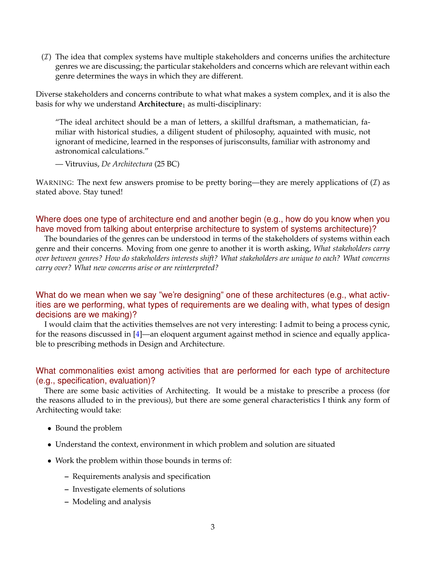$(I)$  The idea that complex systems have multiple stakeholders and concerns unifies the architecture genres we are discussing; the particular stakeholders and concerns which are relevant within each genre determines the ways in which they are different.

Diverse stakeholders and concerns contribute to what what makes a system complex, and it is also the basis for why we understand **Architecture**1 as multi-disciplinary:

"The ideal architect should be a man of letters, a skillful draftsman, a mathematician, familiar with historical studies, a diligent student of philosophy, aquainted with music, not ignorant of medicine, learned in the responses of jurisconsults, familiar with astronomy and astronomical calculations."

— Vitruvius, *De Architectura* (25 BC)

WARNING: The next few answers promise to be pretty boring—they are merely applications of  $(I)$  as stated above. Stay tuned!

### Where does one type of architecture end and another begin (e.g., how do you know when you have moved from talking about enterprise architecture to system of systems architecture)?

The boundaries of the genres can be understood in terms of the stakeholders of systems within each genre and their concerns. Moving from one genre to another it is worth asking, *What stakeholders carry over between genres? How do stakeholders interests shift? What stakeholders are unique to each? What concerns carry over? What new concerns arise or are reinterpreted?*

What do we mean when we say "we're designing" one of these architectures (e.g., what activities are we performing, what types of requirements are we dealing with, what types of design decisions are we making)?

I would claim that the activities themselves are not very interesting: I admit to being a process cynic, for the reasons discussed in [\[4\]](#page-6-2)—an eloquent argument against method in science and equally applicable to prescribing methods in Design and Architecture.

### What commonalities exist among activities that are performed for each type of architecture (e.g., specification, evaluation)?

There are some basic activities of Architecting. It would be a mistake to prescribe a process (for the reasons alluded to in the previous), but there are some general characteristics I think any form of Architecting would take:

- Bound the problem
- Understand the context, environment in which problem and solution are situated
- Work the problem within those bounds in terms of:
	- **–** Requirements analysis and specification
	- **–** Investigate elements of solutions
	- **–** Modeling and analysis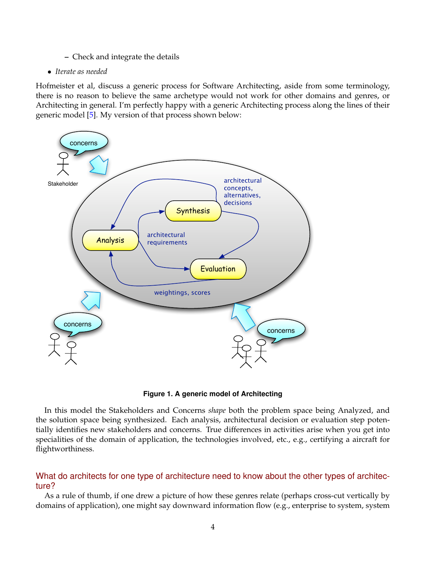#### **–** Check and integrate the details

#### • *Iterate as needed*

Hofmeister et al, discuss a generic process for Software Architecting, aside from some terminology, there is no reason to believe the same archetype would not work for other domains and genres, or Architecting in general. I'm perfectly happy with a generic Architecting process along the lines of their generic model [\[5\]](#page-6-3). My version of that process shown below:



**Figure 1. A generic model of Architecting**

In this model the Stakeholders and Concerns *shape* both the problem space being Analyzed, and the solution space being synthesized. Each analysis, architectural decision or evaluation step potentially identifies new stakeholders and concerns. True differences in activities arise when you get into specialities of the domain of application, the technologies involved, etc., e.g., certifying a aircraft for flightworthiness.

### What do architects for one type of architecture need to know about the other types of architecture?

As a rule of thumb, if one drew a picture of how these genres relate (perhaps cross-cut vertically by domains of application), one might say downward information flow (e.g., enterprise to system, system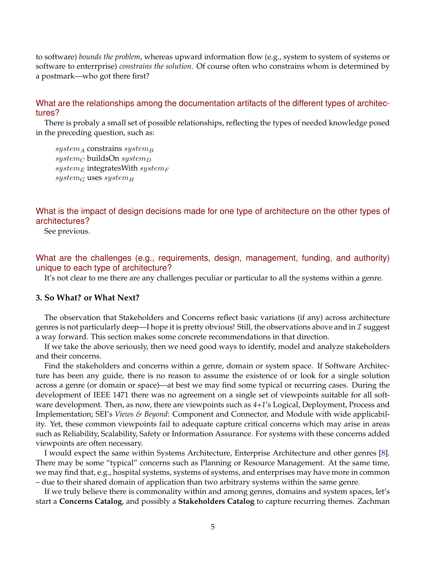to software) *bounds the problem*, whereas upward information flow (e.g., system to system of systems or software to enterrprise) *constrains the solution*. Of course often who constrains whom is determined by a postmark—who got there first?

### What are the relationships among the documentation artifacts of the different types of architectures?

There is probaly a small set of possible relationships, reflecting the types of needed knowledge posed in the preceding question, such as:

 $system_A$  constrains system<sub>B</sub>  $system_C$  buildsOn systemp  $system_E$  integratesWith system $_F$  $system_G$  uses system<sub>H</sub>

What is the impact of design decisions made for one type of architecture on the other types of architectures?

See previous.

What are the challenges (e.g., requirements, design, management, funding, and authority) unique to each type of architecture?

It's not clear to me there are any challenges peculiar or particular to all the systems within a genre.

#### **3. So What? or What Next?**

The observation that Stakeholders and Concerns reflect basic variations (if any) across architecture genres is not particularly deep—I hope it is pretty obvious! Still, the observations above and in  $\mathcal I$  suggest a way forward. This section makes some concrete recommendations in that direction.

If we take the above seriously, then we need good ways to identify, model and analyze stakeholders and their concerns.

Find the stakeholders and concerns within a genre, domain or system space. If Software Architecture has been any guide, there is no reason to assume the existence of or look for a single solution across a genre (or domain or space)—at best we may find some typical or recurring cases. During the development of IEEE 1471 there was no agreement on a single set of viewpoints suitable for all software development. Then, as now, there are viewpoints such as *4+1*'s Logical, Deployment, Process and Implementation; SEI's *Views & Beyond*: Component and Connector, and Module with wide applicability. Yet, these common viewpoints fail to adequate capture critical concerns which may arise in areas such as Reliability, Scalability, Safety or Information Assurance. For systems with these concerns added viewpoints are often necessary.

I would expect the same within Systems Architecture, Enterprise Architecture and other genres [\[8\]](#page-6-4). There may be some "typical" concerns such as Planning or Resource Management. At the same time, we may find that, e.g., hospital systems, systems of systems, and enterprises may have more in common – due to their shared domain of application than two arbitrary systems within the same genre.

If we truly believe there is commonality within and among genres, domains and system spaces, let's start a **Concerns Catalog**, and possibly a **Stakeholders Catalog** to capture recurring themes. Zachman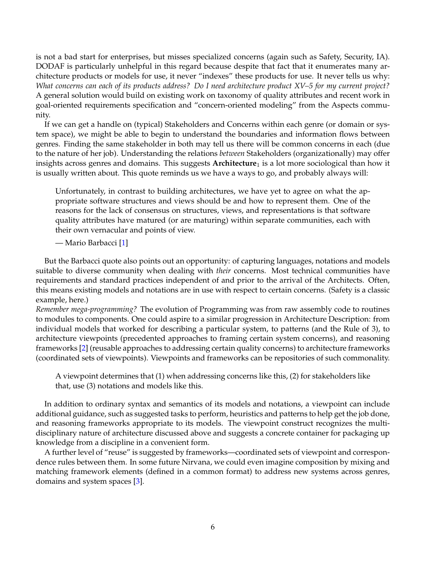is not a bad start for enterprises, but misses specialized concerns (again such as Safety, Security, IA). DODAF is particularly unhelpful in this regard because despite that fact that it enumerates many architecture products or models for use, it never "indexes" these products for use. It never tells us why: *What concerns can each of its products address? Do I need architecture product XV–5 for my current project?* A general solution would build on existing work on taxonomy of quality attributes and recent work in goal-oriented requirements specification and "concern-oriented modeling" from the Aspects community.

If we can get a handle on (typical) Stakeholders and Concerns within each genre (or domain or system space), we might be able to begin to understand the boundaries and information flows between genres. Finding the same stakeholder in both may tell us there will be common concerns in each (due to the nature of her job). Understanding the relations *between* Stakeholders (organizationally) may offer insights across genres and domains. This suggests **Architecture**<sub>1</sub> is a lot more sociological than how it is usually written about. This quote reminds us we have a ways to go, and probably always will:

Unfortunately, in contrast to building architectures, we have yet to agree on what the appropriate software structures and views should be and how to represent them. One of the reasons for the lack of consensus on structures, views, and representations is that software quality attributes have matured (or are maturing) within separate communities, each with their own vernacular and points of view.

— Mario Barbacci [\[1\]](#page-6-5)

But the Barbacci quote also points out an opportunity: of capturing languages, notations and models suitable to diverse community when dealing with *their* concerns. Most technical communities have requirements and standard practices independent of and prior to the arrival of the Architects. Often, this means existing models and notations are in use with respect to certain concerns. (Safety is a classic example, here.)

*Remember mega-programming?* The evolution of Programming was from raw assembly code to routines to modules to components. One could aspire to a similar progression in Architecture Description: from individual models that worked for describing a particular system, to patterns (and the Rule of 3), to architecture viewpoints (precedented approaches to framing certain system concerns), and reasoning frameworks [\[2\]](#page-6-6) (reusable approaches to addressing certain quality concerns) to architecture frameworks (coordinated sets of viewpoints). Viewpoints and frameworks can be repositories of such commonality.

A viewpoint determines that (1) when addressing concerns like this, (2) for stakeholders like that, use (3) notations and models like this.

In addition to ordinary syntax and semantics of its models and notations, a viewpoint can include additional guidance, such as suggested tasks to perform, heuristics and patterns to help get the job done, and reasoning frameworks appropriate to its models. The viewpoint construct recognizes the multidisciplinary nature of architecture discussed above and suggests a concrete container for packaging up knowledge from a discipline in a convenient form.

A further level of "reuse" is suggested by frameworks—coordinated sets of viewpoint and correspondence rules between them. In some future Nirvana, we could even imagine composition by mixing and matching framework elements (defined in a common format) to address new systems across genres, domains and system spaces [\[3\]](#page-6-7).